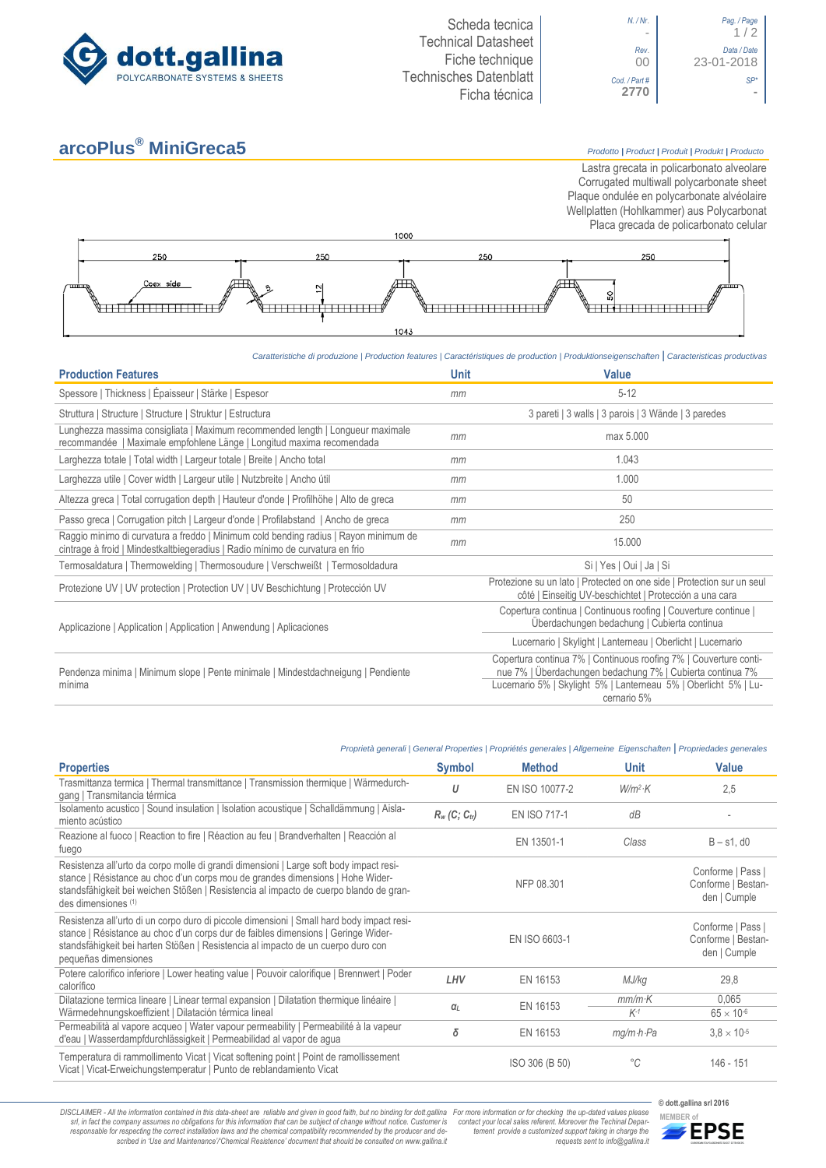



# **arcoPlus® MiniGreca5** *Prodotto <sup>|</sup> Product <sup>|</sup> Produit <sup>|</sup> Produkt <sup>|</sup> Producto*

Lastra grecata in policarbonato alveolare Corrugated multiwall polycarbonate sheet Plaque ondulée en polycarbonate alvéolaire Wellplatten (Hohlkammer) aus Polycarbonat Placa grecada de policarbonato celular



### *Caratteristiche di produzione | Production features | Caractéristiques de production | Produktionseigenschaften* **|** *Caracteristicas productivas*

| <b>Production Features</b>                                                                                                                                            | <b>Unit</b> | Value                                                                                                                                                                                                              |  |  |
|-----------------------------------------------------------------------------------------------------------------------------------------------------------------------|-------------|--------------------------------------------------------------------------------------------------------------------------------------------------------------------------------------------------------------------|--|--|
| Spessore   Thickness   Épaisseur   Stärke   Espesor                                                                                                                   | mm          | $5 - 12$                                                                                                                                                                                                           |  |  |
| Struttura   Structure   Structure   Struktur   Estructura                                                                                                             |             | 3 pareti   3 walls   3 parois   3 Wände   3 paredes                                                                                                                                                                |  |  |
| Lunghezza massima consigliata   Maximum recommended length   Longueur maximale<br>recommandée   Maximale empfohlene Länge   Longitud maxima recomendada               | mm          | max 5.000                                                                                                                                                                                                          |  |  |
| Larghezza totale   Total width   Largeur totale   Breite   Ancho total                                                                                                | mm          | 1.043                                                                                                                                                                                                              |  |  |
| Larghezza utile   Cover width   Largeur utile   Nutzbreite   Ancho útil                                                                                               | mm          | 1.000                                                                                                                                                                                                              |  |  |
| Altezza greca   Total corrugation depth   Hauteur d'onde   Profilhöhe   Alto de greca                                                                                 | mm          | 50                                                                                                                                                                                                                 |  |  |
| Passo greca   Corrugation pitch   Largeur d'onde   Profilabstand   Ancho de greca                                                                                     | mm          | 250                                                                                                                                                                                                                |  |  |
| Raggio minimo di curvatura a freddo   Minimum cold bending radius   Rayon minimum de<br>cintrage à froid   Mindestkaltbiegeradius   Radio mínimo de curvatura en frio | mm          | 15.000                                                                                                                                                                                                             |  |  |
| Termosaldatura   Thermowelding   Thermosoudure   Verschweißt   Termosoldadura                                                                                         |             | Si   Yes   Oui   Ja   Si                                                                                                                                                                                           |  |  |
| Protezione UV   UV protection   Protection UV   UV Beschichtung   Protección UV                                                                                       |             | Protezione su un lato   Protected on one side   Protection sur un seul<br>côté   Einseitig UV-beschichtet   Protección a una cara                                                                                  |  |  |
| Applicazione   Application   Application   Anwendung   Aplicaciones                                                                                                   |             | Copertura continua   Continuous roofing   Couverture continue  <br>Überdachungen bedachung   Cubierta continua                                                                                                     |  |  |
|                                                                                                                                                                       |             | Lucernario   Skylight   Lanterneau   Oberlicht   Lucernario                                                                                                                                                        |  |  |
| Pendenza minima   Minimum slope   Pente minimale   Mindestdachneigung   Pendiente<br>mínima                                                                           |             | Copertura continua 7%   Continuous roofing 7%   Couverture conti-<br>nue 7%   Überdachungen bedachung 7%   Cubierta continua 7%<br>Lucernario 5%   Skylight 5%   Lanterneau 5%   Oberlicht 5%   Lu-<br>cernario 5% |  |  |

### *Proprietà generali | General Properties | Propriétés generales | Allgemeine Eigenschaften* **|** *Propriedades generales*

| <b>Properties</b>                                                                                                                                                                                                                                                                          | <b>Symbol</b>               | <b>Method</b>       | <b>Unit</b>             | <b>Value</b>                                            |
|--------------------------------------------------------------------------------------------------------------------------------------------------------------------------------------------------------------------------------------------------------------------------------------------|-----------------------------|---------------------|-------------------------|---------------------------------------------------------|
| Trasmittanza termica   Thermal transmittance   Transmission thermique   Wärmedurch-<br>gang   Transmitancia térmica                                                                                                                                                                        | U                           | EN ISO 10077-2      | $W/m^2$ K               | 2,5                                                     |
| Isolamento acustico   Sound insulation   Isolation acoustique   Schalldämmung   Aisla-<br>miento acústico                                                                                                                                                                                  | $R_w$ (C; C <sub>tr</sub> ) | <b>EN ISO 717-1</b> | dB                      |                                                         |
| Reazione al fuoco   Reaction to fire   Réaction au feu   Brandverhalten   Reacción al<br>fuego                                                                                                                                                                                             |                             | EN 13501-1          | Class                   | $B - s1$ , d $0$                                        |
| Resistenza all'urto da corpo molle di grandi dimensioni   Large soft body impact resi-<br>stance   Résistance au choc d'un corps mou de grandes dimensions   Hohe Wider-<br>standsfähigkeit bei weichen Stößen   Resistencia al impacto de cuerpo blando de gran-<br>des dimensiones (1)   |                             | NFP 08.301          |                         | Conforme   Pass  <br>Conforme   Bestan-<br>den   Cumple |
| Resistenza all'urto di un corpo duro di piccole dimensioni   Small hard body impact resi-<br>stance   Résistance au choc d'un corps dur de faibles dimensions   Geringe Wider-<br>standsfähigkeit bei harten Stößen   Resistencia al impacto de un cuerpo duro con<br>pequeñas dimensiones |                             | EN ISO 6603-1       |                         | Conforme   Pass  <br>Conforme   Bestan-<br>den   Cumple |
| Potere calorifico inferiore   Lower heating value   Pouvoir calorifique   Brennwert   Poder<br>calorífico                                                                                                                                                                                  | LHV                         | EN 16153            | MJ/kg                   | 29,8                                                    |
| Dilatazione termica lineare   Linear termal expansion   Dilatation thermique linéaire                                                                                                                                                                                                      | $\alpha$                    | EN 16153            | $mm/m$ K                | 0.065                                                   |
| Wärmedehnungskoeffizient   Dilatación térmica lineal                                                                                                                                                                                                                                       |                             |                     | $K-1$                   | $65 \times 10^{-6}$                                     |
| Permeabilità al vapore acqueo   Water vapour permeability   Permeabilité à la vapeur<br>d'eau   Wasserdampfdurchlässigkeit   Permeabilidad al vapor de agua                                                                                                                                | δ                           | EN 16153            | $mq/m \cdot h \cdot Pa$ | $3.8 \times 10^{-5}$                                    |
| Temperatura di rammollimento Vicat   Vicat softening point   Point de ramollissement<br>Vicat   Vicat-Erweichungstemperatur   Punto de reblandamiento Vicat                                                                                                                                |                             | ISO 306 (B 50)      | $^{\circ}C$             | 146 - 151                                               |

DISCLAIMER - All the information contained in this data-sheet are reliable and given in good faith, but no binding for dott.gallina For more information or for checking the up-dated values please<br>-srl, in fact the company -responsable for respecting the correct installation laws and the chemical compatibility recommended by the producer and de-<br>scribed in 'Use and Maintenance'/'Chemical Resistence' document that should be consulted on www.g

**© dott.gallina srl 2016** *tement provide a customized support taking in charge the requests sent to info@gallina.it*

**MEMBER of**<br>**MEMBER of**